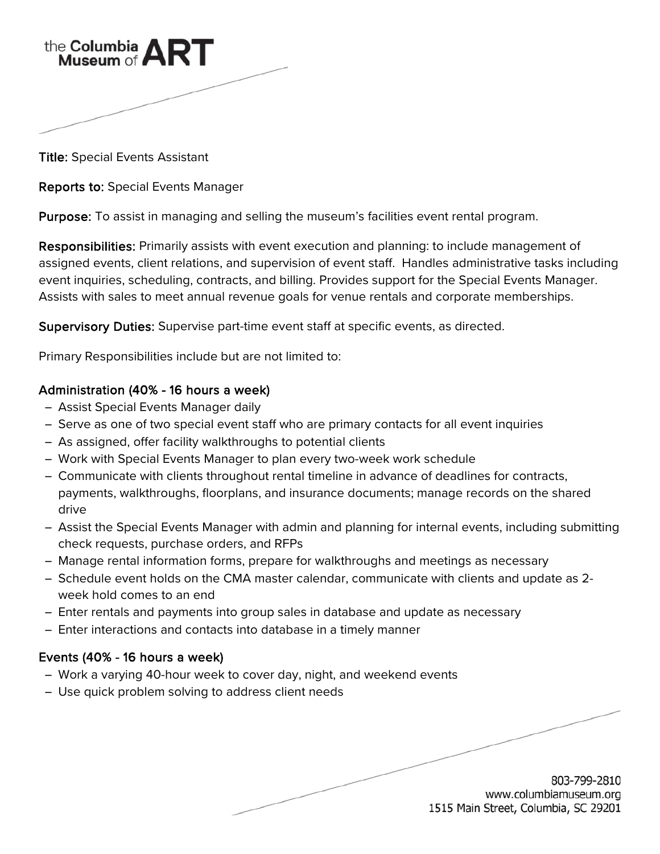

Title: Special Events Assistant

Reports to: Special Events Manager

Purpose: To assist in managing and selling the museum's facilities event rental program.

Responsibilities: Primarily assists with event execution and planning: to include management of assigned events, client relations, and supervision of event staff. Handles administrative tasks including event inquiries, scheduling, contracts, and billing. Provides support for the Special Events Manager. Assists with sales to meet annual revenue goals for venue rentals and corporate memberships.

Supervisory Duties: Supervise part-time event staff at specific events, as directed.

Primary Responsibilities include but are not limited to:

## Administration (40% - 16 hours a week)

- ̶ Assist Special Events Manager daily
- ̶ Serve as one of two special event staff who are primary contacts for all event inquiries
- ̶ As assigned, offer facility walkthroughs to potential clients
- ̶ Work with Special Events Manager to plan every two-week work schedule
- ̶ Communicate with clients throughout rental timeline in advance of deadlines for contracts, payments, walkthroughs, floorplans, and insurance documents; manage records on the shared drive
- ̶ Assist the Special Events Manager with admin and planning for internal events, including submitting check requests, purchase orders, and RFPs
- ̶ Manage rental information forms, prepare for walkthroughs and meetings as necessary
- ̶ Schedule event holds on the CMA master calendar, communicate with clients and update as 2 week hold comes to an end
- ̶ Enter rentals and payments into group sales in database and update as necessary
- ̶ Enter interactions and contacts into database in a timely manner

## Events (40% - 16 hours a week)

- ̶ Work a varying 40-hour week to cover day, night, and weekend events
- ̶ Use quick problem solving to address client needs

803-799-2810 www.columbiamuseum.org 1515 Main Street, Columbia, SC 29201